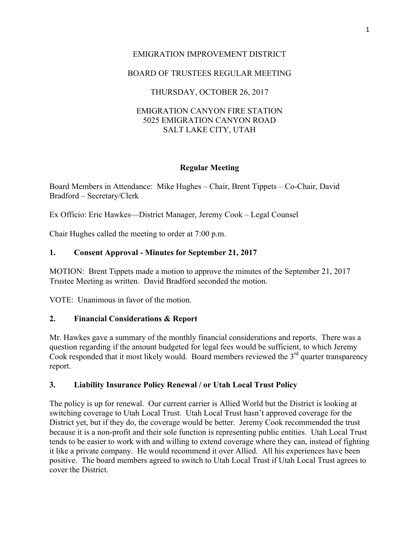# EMIGRATION IMPROVEMENT DISTRICT

# BOARD OF TRUSTEES REGULAR MEETING

# THURSDAY, OCTOBER 26, 2017

### EMIGRATION CANYON FIRE STATION 5025 EMIGRATION CANYON ROAD SALT LAKE CITY, UTAH

### **Regular Meeting**

Board Members in Attendance: Mike Hughes – Chair, Brent Tippets – Co-Chair, David Bradford – Secretary/Clerk

Ex Officio: Eric Hawkes—District Manager, Jeremy Cook – Legal Counsel

Chair Hughes called the meeting to order at 7:00 p.m.

### **1. Consent Approval - Minutes for September 21, 2017**

MOTION: Brent Tippets made a motion to approve the minutes of the September 21, 2017 Trustee Meeting as written. David Bradford seconded the motion.

VOTE: Unanimous in favor of the motion.

#### **2. Financial Considerations & Report**

Mr. Hawkes gave a summary of the monthly financial considerations and reports. There was a question regarding if the amount budgeted for legal fees would be sufficient, to which Jeremy Cook responded that it most likely would. Board members reviewed the  $3<sup>rd</sup>$  quarter transparency report.

#### **3. Liability Insurance Policy Renewal / or Utah Local Trust Policy**

The policy is up for renewal. Our current carrier is Allied World but the District is looking at switching coverage to Utah Local Trust. Utah Local Trust hasn't approved coverage for the District yet, but if they do, the coverage would be better. Jeremy Cook recommended the trust because it is a non-profit and their sole function is representing public entities. Utah Local Trust tends to be easier to work with and willing to extend coverage where they can, instead of fighting it like a private company. He would recommend it over Allied. All his experiences have been positive. The board members agreed to switch to Utah Local Trust if Utah Local Trust agrees to cover the District.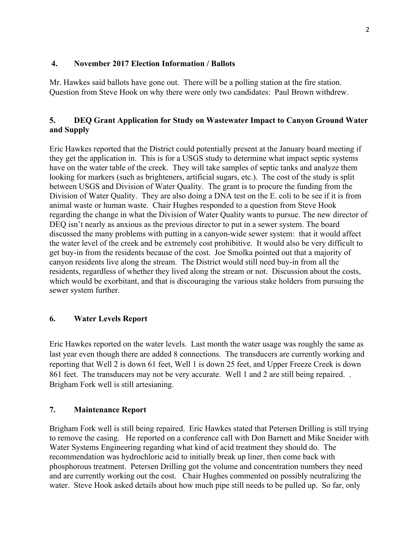### **4. November 2017 Election Information / Ballots**

Mr. Hawkes said ballots have gone out. There will be a polling station at the fire station. Question from Steve Hook on why there were only two candidates: Paul Brown withdrew.

# **5. DEQ Grant Application for Study on Wastewater Impact to Canyon Ground Water and Supply**

Eric Hawkes reported that the District could potentially present at the January board meeting if they get the application in. This is for a USGS study to determine what impact septic systems have on the water table of the creek. They will take samples of septic tanks and analyze them looking for markers (such as brighteners, artificial sugars, etc.). The cost of the study is split between USGS and Division of Water Quality. The grant is to procure the funding from the Division of Water Quality. They are also doing a DNA test on the E. coli to be see if it is from animal waste or human waste. Chair Hughes responded to a question from Steve Hook regarding the change in what the Division of Water Quality wants to pursue. The new director of DEQ isn't nearly as anxious as the previous director to put in a sewer system. The board discussed the many problems with putting in a canyon-wide sewer system: that it would affect the water level of the creek and be extremely cost prohibitive. It would also be very difficult to get buy-in from the residents because of the cost. Joe Smolka pointed out that a majority of canyon residents live along the stream. The District would still need buy-in from all the residents, regardless of whether they lived along the stream or not. Discussion about the costs, which would be exorbitant, and that is discouraging the various stake holders from pursuing the sewer system further.

### **6. Water Levels Report**

Eric Hawkes reported on the water levels. Last month the water usage was roughly the same as last year even though there are added 8 connections. The transducers are currently working and reporting that Well 2 is down 61 feet, Well 1 is down 25 feet, and Upper Freeze Creek is down 861 feet. The transducers may not be very accurate. Well 1 and 2 are still being repaired... Brigham Fork well is still artesianing.

### **7. Maintenance Report**

Brigham Fork well is still being repaired. Eric Hawkes stated that Petersen Drilling is still trying to remove the casing. He reported on a conference call with Don Barnett and Mike Sneider with Water Systems Engineering regarding what kind of acid treatment they should do. The recommendation was hydrochloric acid to initially break up liner, then come back with phosphorous treatment. Petersen Drilling got the volume and concentration numbers they need and are currently working out the cost. Chair Hughes commented on possibly neutralizing the water. Steve Hook asked details about how much pipe still needs to be pulled up. So far, only